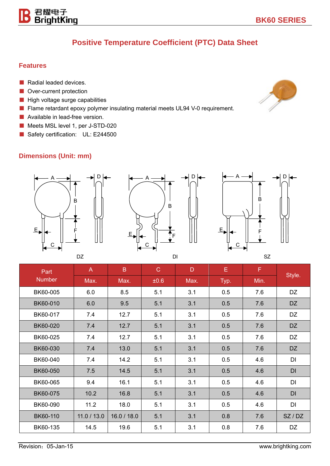## **Positive Temperature Coefficient (PTC) Data Sheet**

#### **Features**

- Radial leaded devices.
- Over-current protection

君耀电子<br>BrightKing

- High voltage surge capabilities
- Flame retardant epoxy polymer insulating material meets UL94 V-0 requirement.
- Available in lead-free version.
- Meets MSL level 1, per J-STD-020
- Safety certification: UL: E244500

#### **Dimensions (Unit: mm)**







| Part<br><b>Number</b> | $\mathsf{A}$ | B.          | $\mathbf C$ | D    | E    | F    |         |
|-----------------------|--------------|-------------|-------------|------|------|------|---------|
|                       | Max.         | Max.        | ±0.6        | Max. | Typ. | Min. | Style.  |
| BK60-005              | 6.0          | 8.5         | 5.1         | 3.1  | 0.5  | 7.6  | DZ      |
| BK60-010              | 6.0          | 9.5         | 5.1         | 3.1  | 0.5  | 7.6  | DZ      |
| BK60-017              | 7.4          | 12.7        | 5.1         | 3.1  | 0.5  | 7.6  | DZ      |
| BK60-020              | 7.4          | 12.7        | 5.1         | 3.1  | 0.5  | 7.6  | DZ      |
| BK60-025              | 7.4          | 12.7        | 5.1         | 3.1  | 0.5  | 7.6  | DZ      |
| BK60-030              | 7.4          | 13.0        | 5.1         | 3.1  | 0.5  | 7.6  | DZ      |
| BK60-040              | 7.4          | 14.2        | 5.1         | 3.1  | 0.5  | 4.6  | DI      |
| BK60-050              | 7.5          | 14.5        | 5.1         | 3.1  | 0.5  | 4.6  | DI      |
| BK60-065              | 9.4          | 16.1        | 5.1         | 3.1  | 0.5  | 4.6  | DI      |
| BK60-075              | 10.2         | 16.8        | 5.1         | 3.1  | 0.5  | 4.6  | DI      |
| BK60-090              | 11.2         | 18.0        | 5.1         | 3.1  | 0.5  | 4.6  | DI      |
| BK60-110              | 11.0 / 13.0  | 16.0 / 18.0 | 5.1         | 3.1  | 0.8  | 7.6  | SZ / DZ |
| BK60-135              | 14.5         | 19.6        | 5.1         | 3.1  | 0.8  | 7.6  | DZ      |

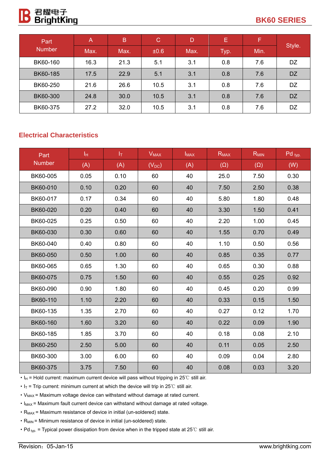

| Part          | A    | B    | $\mathbf C$ | D    | Е    | Æ,   |           |
|---------------|------|------|-------------|------|------|------|-----------|
| <b>Number</b> | Max. | Max. | ±0.6        | Max. | Typ. | Min. | Style.    |
| BK60-160      | 16.3 | 21.3 | 5.1         | 3.1  | 0.8  | 7.6  | DZ        |
| BK60-185      | 17.5 | 22.9 | 5.1         | 3.1  | 0.8  | 7.6  | <b>DZ</b> |
| BK60-250      | 21.6 | 26.6 | 10.5        | 3.1  | 0.8  | 7.6  | <b>DZ</b> |
| BK60-300      | 24.8 | 30.0 | 10.5        | 3.1  | 0.8  | 7.6  | <b>DZ</b> |
| BK60-375      | 27.2 | 32.0 | 10.5        | 3.1  | 0.8  | 7.6  | DZ        |

#### **Electrical Characteristics**

| Part          | Iн   | ΙŢ.  | <b>V<sub>MAX</sub></b> | $I_{MAX}$ | $R_{MAX}$  | $R_{MIN}$  | $Pd$ typ. |
|---------------|------|------|------------------------|-----------|------------|------------|-----------|
| <b>Number</b> | (A)  | (A)  | $(V_{DC})$             | (A)       | $(\Omega)$ | $(\Omega)$ | (W)       |
| BK60-005      | 0.05 | 0.10 | 60                     | 40        | 25.0       | 7.50       | 0.30      |
| BK60-010      | 0.10 | 0.20 | 60                     | 40        | 7.50       | 2.50       | 0.38      |
| BK60-017      | 0.17 | 0.34 | 60                     | 40        | 5.80       | 1.80       | 0.48      |
| BK60-020      | 0.20 | 0.40 | 60                     | 40        | 3.30       | 1.50       | 0.41      |
| BK60-025      | 0.25 | 0.50 | 60                     | 40        | 2.20       | 1.00       | 0.45      |
| BK60-030      | 0.30 | 0.60 | 60                     | 40        | 1.55       | 0.70       | 0.49      |
| BK60-040      | 0.40 | 0.80 | 60                     | 40        | 1.10       | 0.50       | 0.56      |
| BK60-050      | 0.50 | 1.00 | 60                     | 40        | 0.85       | 0.35       | 0.77      |
| BK60-065      | 0.65 | 1.30 | 60                     | 40        | 0.65       | 0.30       | 0.88      |
| BK60-075      | 0.75 | 1.50 | 60                     | 40        | 0.55       | 0.25       | 0.92      |
| BK60-090      | 0.90 | 1.80 | 60                     | 40        | 0.45       | 0.20       | 0.99      |
| BK60-110      | 1.10 | 2.20 | 60                     | 40        | 0.33       | 0.15       | 1.50      |
| BK60-135      | 1.35 | 2.70 | 60                     | 40        | 0.27       | 0.12       | 1.70      |
| BK60-160      | 1.60 | 3.20 | 60                     | 40        | 0.22       | 0.09       | 1.90      |
| BK60-185      | 1.85 | 3.70 | 60                     | 40        | 0.18       | 0.08       | 2.10      |
| BK60-250      | 2.50 | 5.00 | 60                     | 40        | 0.11       | 0.05       | 2.50      |
| BK60-300      | 3.00 | 6.00 | 60                     | 40        | 0.09       | 0.04       | 2.80      |
| BK60-375      | 3.75 | 7.50 | 60                     | 40        | 0.08       | 0.03       | 3.20      |

• I<sub>H</sub> = Hold current: maximum current device will pass without tripping in 25℃ still air.

 $\cdot$  I<sub>T</sub> = Trip current: minimum current at which the device will trip in 25°C still air.

• V<sub>MAX</sub> = Maximum voltage device can withstand without damage at rated current.

• I<sub>MAX</sub> = Maximum fault current device can withstand without damage at rated voltage.

• R<sub>MAX</sub> = Maximum resistance of device in initial (un-soldered) state.

 $\cdot$  R<sub>MIN</sub> = Minimum resistance of device in initial (un-soldered) state.

·Pd typ. = Typical power dissipation from device when in the tripped state at 25℃ still air.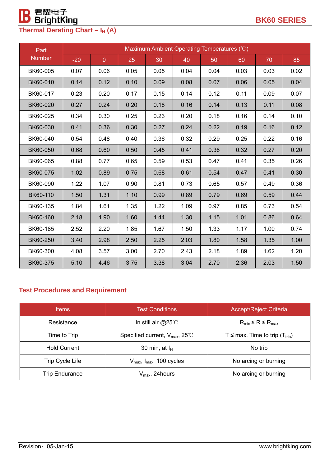

| Part          | Maximum Ambient Operating Temperatures (°C) |                |      |      |      |      |      |      |      |
|---------------|---------------------------------------------|----------------|------|------|------|------|------|------|------|
| <b>Number</b> | $-20$                                       | $\overline{0}$ | 25   | 30   | 40   | 50   | 60   | 70   | 85   |
| BK60-005      | 0.07                                        | 0.06           | 0.05 | 0.05 | 0.04 | 0.04 | 0.03 | 0.03 | 0.02 |
| BK60-010      | 0.14                                        | 0.12           | 0.10 | 0.09 | 0.08 | 0.07 | 0.06 | 0.05 | 0.04 |
| BK60-017      | 0.23                                        | 0.20           | 0.17 | 0.15 | 0.14 | 0.12 | 0.11 | 0.09 | 0.07 |
| BK60-020      | 0.27                                        | 0.24           | 0.20 | 0.18 | 0.16 | 0.14 | 0.13 | 0.11 | 0.08 |
| BK60-025      | 0.34                                        | 0.30           | 0.25 | 0.23 | 0.20 | 0.18 | 0.16 | 0.14 | 0.10 |
| BK60-030      | 0.41                                        | 0.36           | 0.30 | 0.27 | 0.24 | 0.22 | 0.19 | 0.16 | 0.12 |
| BK60-040      | 0.54                                        | 0.48           | 0.40 | 0.36 | 0.32 | 0.29 | 0.25 | 0.22 | 0.16 |
| BK60-050      | 0.68                                        | 0.60           | 0.50 | 0.45 | 0.41 | 0.36 | 0.32 | 0.27 | 0.20 |
| BK60-065      | 0.88                                        | 0.77           | 0.65 | 0.59 | 0.53 | 0.47 | 0.41 | 0.35 | 0.26 |
| BK60-075      | 1.02                                        | 0.89           | 0.75 | 0.68 | 0.61 | 0.54 | 0.47 | 0.41 | 0.30 |
| BK60-090      | 1.22                                        | 1.07           | 0.90 | 0.81 | 0.73 | 0.65 | 0.57 | 0.49 | 0.36 |
| BK60-110      | 1.50                                        | 1.31           | 1.10 | 0.99 | 0.89 | 0.79 | 0.69 | 0.59 | 0.44 |
| BK60-135      | 1.84                                        | 1.61           | 1.35 | 1.22 | 1.09 | 0.97 | 0.85 | 0.73 | 0.54 |
| BK60-160      | 2.18                                        | 1.90           | 1.60 | 1.44 | 1.30 | 1.15 | 1.01 | 0.86 | 0.64 |
| BK60-185      | 2.52                                        | 2.20           | 1.85 | 1.67 | 1.50 | 1.33 | 1.17 | 1.00 | 0.74 |
| BK60-250      | 3.40                                        | 2.98           | 2.50 | 2.25 | 2.03 | 1.80 | 1.58 | 1.35 | 1.00 |
| BK60-300      | 4.08                                        | 3.57           | 3.00 | 2.70 | 2.43 | 2.18 | 1.89 | 1.62 | 1.20 |
| BK60-375      | 5.10                                        | 4.46           | 3.75 | 3.38 | 3.04 | 2.70 | 2.36 | 2.03 | 1.50 |

### **Test Procedures and Requirement**

| <b>Items</b>           | <b>Test Conditions</b>                           | <b>Accept/Reject Criteria</b>                   |  |
|------------------------|--------------------------------------------------|-------------------------------------------------|--|
| Resistance             | In still air $@25^\circ$ C                       | $R_{min} \le R \le R_{max}$                     |  |
| Time to Trip           | Specified current, $V_{\text{max}}$ , 25°C       | T $\leq$ max. Time to trip (T <sub>trip</sub> ) |  |
| <b>Hold Current</b>    | 30 min, at $I_H$                                 | No trip                                         |  |
| <b>Trip Cycle Life</b> | $V_{\text{max}}$ , $I_{\text{max}}$ , 100 cycles | No arcing or burning                            |  |
| <b>Trip Endurance</b>  | $V_{\text{max}}$ , 24hours                       | No arcing or burning                            |  |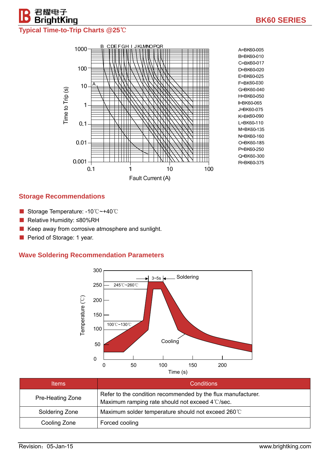# 君耀电子<br>**BrightKing Typical Time-to-Trip Charts @25**℃



#### **Storage Recommendations**

- Storage Temperature: -10 °C ~+40 °C
- Relative Humidity: ≤80%RH
- Keep away from corrosive atmosphere and sunlight.
- Period of Storage: 1 year.

#### **Wave Soldering Recommendation Parameters**



| <b>Items</b>     | <b>Conditions</b>                                                                                               |
|------------------|-----------------------------------------------------------------------------------------------------------------|
| Pre-Heating Zone | Refer to the condition recommended by the flux manufacturer.<br>Maximum ramping rate should not exceed 4°C/sec. |
| Soldering Zone   | Maximum solder temperature should not exceed 260°C                                                              |
| Cooling Zone     | Forced cooling                                                                                                  |

**BK60 SERIES**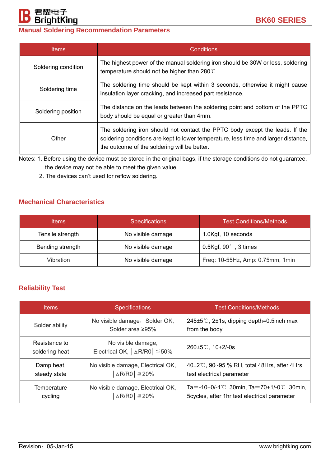# 君耀电子<br>**BrightKing Manual Soldering Recommendation Parameters**

| <b>Items</b>        | Conditions                                                                                                                                                                                                         |
|---------------------|--------------------------------------------------------------------------------------------------------------------------------------------------------------------------------------------------------------------|
| Soldering condition | The highest power of the manual soldering iron should be 30W or less, soldering<br>temperature should not be higher than 280°C.                                                                                    |
| Soldering time      | The soldering time should be kept within 3 seconds, otherwise it might cause<br>insulation layer cracking, and increased part resistance.                                                                          |
| Soldering position  | The distance on the leads between the soldering point and bottom of the PPTC<br>body should be equal or greater than 4mm.                                                                                          |
| Other               | The soldering iron should not contact the PPTC body except the leads. If the<br>soldering conditions are kept to lower temperature, less time and larger distance,<br>the outcome of the soldering will be better. |

Notes: 1. Before using the device must be stored in the original bags, if the storage conditions do not guarantee, the device may not be able to meet the given value.

2. The devices can't used for reflow soldering.

### **Mechanical Characteristics**

| <b>Items</b>     | <b>Specifications</b> | <b>Test Conditions/Methods</b>   |  |  |
|------------------|-----------------------|----------------------------------|--|--|
| Tensile strength | No visible damage     | 1.0Kgf, 10 seconds               |  |  |
| Bending strength | No visible damage     | 0.5Kgf, $90^\circ$ , 3 times     |  |  |
| Vibration        | No visible damage     | Freq: 10-55Hz, Amp: 0.75mm, 1min |  |  |

### **Reliability Test**

| <b>Items</b>                    | <b>Specifications</b>                                             | <b>Test Conditions/Methods</b>                                                               |
|---------------------------------|-------------------------------------------------------------------|----------------------------------------------------------------------------------------------|
| Solder ability                  | No visible damage, Solder OK,<br>Solder area ≥95%                 | $245\pm5\degree$ C, 2 $\pm$ 1s, dipping depth=0.5 inch max<br>from the body                  |
| Resistance to<br>soldering heat | No visible damage,<br>Electrical OK, $ \triangle R/RO  \leq 50\%$ | $260 \pm 5^{\circ}$ C, 10+2/-0s                                                              |
| Damp heat,<br>steady state      | No visible damage, Electrical OK,<br>$\Delta$ R/R0 $\leq$ 20%     | $40\pm2\degree$ C, 90~95 % RH, total 48Hrs, after 4Hrs<br>test electrical parameter          |
| Temperature<br>cycling          | No visible damage, Electrical OK,<br>$\Delta$ R/R0 $\leq$ 20%     | Ta = -10+0/-1°C 30min, Ta = 70+1/-0°C 30min,<br>5cycles, after 1hr test electrical parameter |